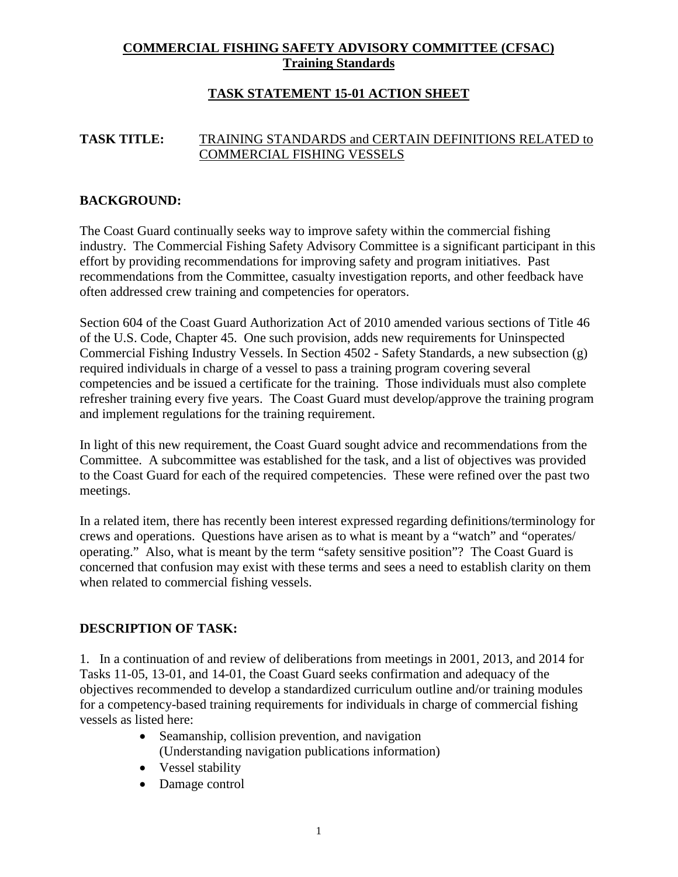# **COMMERCIAL FISHING SAFETY ADVISORY COMMITTEE (CFSAC) Training Standards**

# **TASK STATEMENT 15-01 ACTION SHEET**

### **TASK TITLE:** TRAINING STANDARDS and CERTAIN DEFINITIONS RELATED to COMMERCIAL FISHING VESSELS

### **BACKGROUND:**

The Coast Guard continually seeks way to improve safety within the commercial fishing industry. The Commercial Fishing Safety Advisory Committee is a significant participant in this effort by providing recommendations for improving safety and program initiatives. Past recommendations from the Committee, casualty investigation reports, and other feedback have often addressed crew training and competencies for operators.

Section 604 of the Coast Guard Authorization Act of 2010 amended various sections of Title 46 of the U.S. Code, Chapter 45. One such provision, adds new requirements for Uninspected Commercial Fishing Industry Vessels. In Section 4502 - Safety Standards, a new subsection (g) required individuals in charge of a vessel to pass a training program covering several competencies and be issued a certificate for the training. Those individuals must also complete refresher training every five years. The Coast Guard must develop/approve the training program and implement regulations for the training requirement.

In light of this new requirement, the Coast Guard sought advice and recommendations from the Committee. A subcommittee was established for the task, and a list of objectives was provided to the Coast Guard for each of the required competencies. These were refined over the past two meetings.

In a related item, there has recently been interest expressed regarding definitions/terminology for crews and operations. Questions have arisen as to what is meant by a "watch" and "operates/ operating." Also, what is meant by the term "safety sensitive position"? The Coast Guard is concerned that confusion may exist with these terms and sees a need to establish clarity on them when related to commercial fishing vessels.

#### **DESCRIPTION OF TASK:**

1. In a continuation of and review of deliberations from meetings in 2001, 2013, and 2014 for Tasks 11-05, 13-01, and 14-01, the Coast Guard seeks confirmation and adequacy of the objectives recommended to develop a standardized curriculum outline and/or training modules for a competency-based training requirements for individuals in charge of commercial fishing vessels as listed here:

- Seamanship, collision prevention, and navigation (Understanding navigation publications information)
- Vessel stability
- Damage control